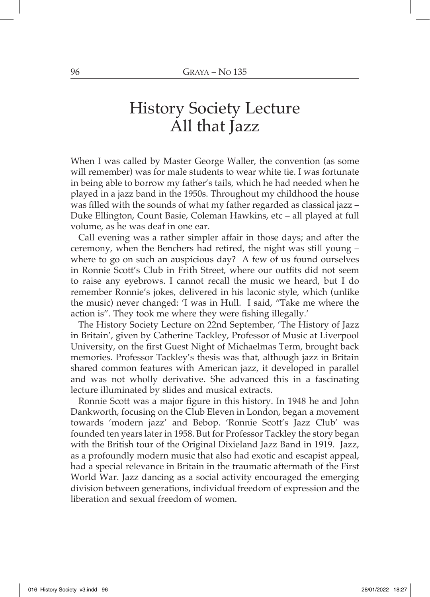## History Society Lecture All that Jazz

When I was called by Master George Waller, the convention (as some will remember) was for male students to wear white tie. I was fortunate in being able to borrow my father's tails, which he had needed when he played in a jazz band in the 1950s. Throughout my childhood the house was filled with the sounds of what my father regarded as classical jazz – Duke Ellington, Count Basie, Coleman Hawkins, etc – all played at full volume, as he was deaf in one ear.

Call evening was a rather simpler affair in those days; and after the ceremony, when the Benchers had retired, the night was still young – where to go on such an auspicious day? A few of us found ourselves in Ronnie Scott's Club in Frith Street, where our outfits did not seem to raise any eyebrows. I cannot recall the music we heard, but I do remember Ronnie's jokes, delivered in his laconic style, which (unlike the music) never changed: 'I was in Hull. I said, "Take me where the action is". They took me where they were fishing illegally.'

The History Society Lecture on 22nd September, 'The History of Jazz in Britain', given by Catherine Tackley, Professor of Music at Liverpool University, on the first Guest Night of Michaelmas Term, brought back memories. Professor Tackley's thesis was that, although jazz in Britain shared common features with American jazz, it developed in parallel and was not wholly derivative. She advanced this in a fascinating lecture illuminated by slides and musical extracts.

Ronnie Scott was a major figure in this history. In 1948 he and John Dankworth, focusing on the Club Eleven in London, began a movement towards 'modern jazz' and Bebop. 'Ronnie Scott's Jazz Club' was founded ten years later in 1958. But for Professor Tackley the story began with the British tour of the Original Dixieland Jazz Band in 1919. Jazz, as a profoundly modern music that also had exotic and escapist appeal, had a special relevance in Britain in the traumatic aftermath of the First World War. Jazz dancing as a social activity encouraged the emerging division between generations, individual freedom of expression and the liberation and sexual freedom of women.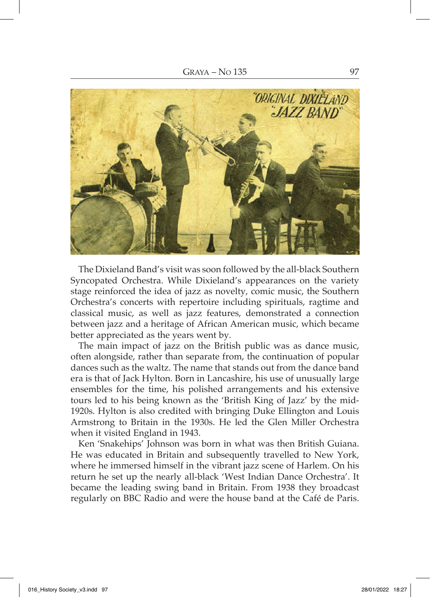

The Dixieland Band's visit was soon followed by the all-black Southern Syncopated Orchestra. While Dixieland's appearances on the variety stage reinforced the idea of jazz as novelty, comic music, the Southern Orchestra's concerts with repertoire including spirituals, ragtime and classical music, as well as jazz features, demonstrated a connection between jazz and a heritage of African American music, which became better appreciated as the years went by.

The main impact of jazz on the British public was as dance music, often alongside, rather than separate from, the continuation of popular dances such as the waltz. The name that stands out from the dance band era is that of Jack Hylton. Born in Lancashire, his use of unusually large ensembles for the time, his polished arrangements and his extensive tours led to his being known as the 'British King of Jazz' by the mid-1920s. Hylton is also credited with bringing Duke Ellington and Louis Armstrong to Britain in the 1930s. He led the Glen Miller Orchestra when it visited England in 1943.

Ken 'Snakehips' Johnson was born in what was then British Guiana. He was educated in Britain and subsequently travelled to New York, where he immersed himself in the vibrant jazz scene of Harlem. On his return he set up the nearly all-black 'West Indian Dance Orchestra'. It became the leading swing band in Britain. From 1938 they broadcast regularly on BBC Radio and were the house band at the Café de Paris.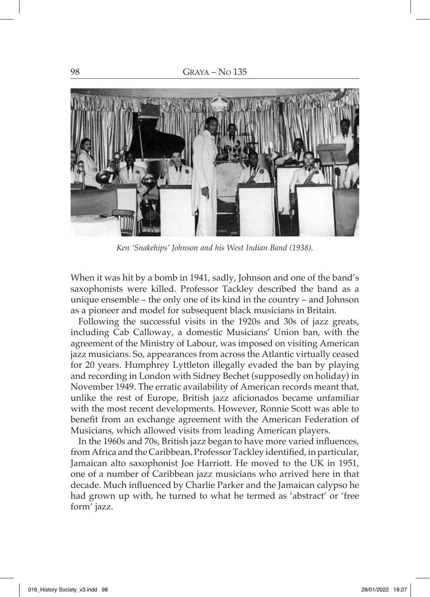

*Ken 'Snakehips' Johnson and his West Indian Band (1938).*

When it was hit by a bomb in 1941, sadly, Johnson and one of the band's saxophonists were killed. Professor Tackley described the band as a unique ensemble – the only one of its kind in the country – and Johnson as a pioneer and model for subsequent black musicians in Britain.

Following the successful visits in the 1920s and 30s of jazz greats, including Cab Calloway, a domestic Musicians' Union ban, with the agreement of the Ministry of Labour, was imposed on visiting American jazz musicians. So, appearances from across the Atlantic virtually ceased for 20 years. Humphrey Lyttleton illegally evaded the ban by playing and recording in London with Sidney Bechet (supposedly on holiday) in November 1949. The erratic availability of American records meant that, unlike the rest of Europe, British jazz aficionados became unfamiliar with the most recent developments. However, Ronnie Scott was able to benefit from an exchange agreement with the American Federation of Musicians, which allowed visits from leading American players.

In the 1960s and 70s, British jazz began to have more varied influences, from Africa and the Caribbean. Professor Tackley identified, in particular, Jamaican alto saxophonist Joe Harriott. He moved to the UK in 1951, one of a number of Caribbean jazz musicians who arrived here in that decade. Much influenced by Charlie Parker and the Jamaican calypso he had grown up with, he turned to what he termed as 'abstract' or 'free form' jazz.